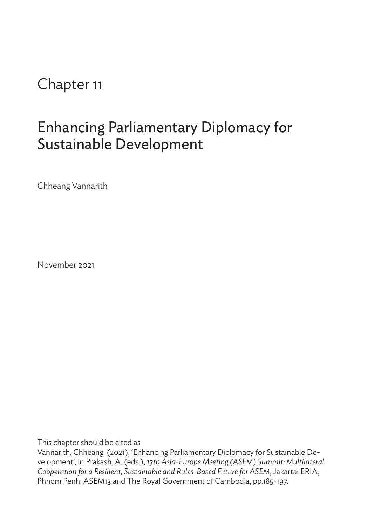Chapter 11

# Enhancing Parliamentary Diplomacy for Sustainable Development

Chheang Vannarith

November 2021

This chapter should be cited as

Vannarith, Chheang (2021), 'Enhancing Parliamentary Diplomacy for Sustainable Development', in Prakash, A. (eds.), *13th Asia-Europe Meeting (ASEM) Summit: Multilateral Cooperation for a Resilient, Sustainable and Rules-Based Future for ASEM*, Jakarta: ERIA, Phnom Penh: ASEM13 and The Royal Government of Cambodia, pp.185-197.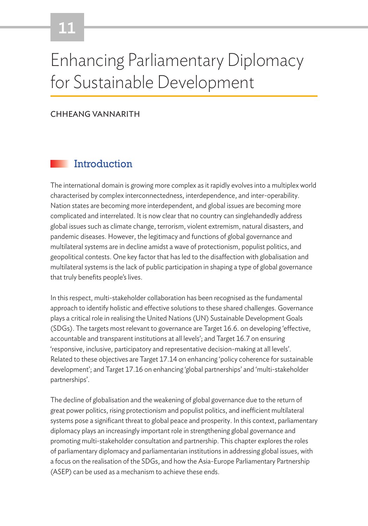# 11

# Enhancing Parliamentary Diplomacy for Sustainable Development

#### CHHEANG VANNARITH

#### **Introduction**

The international domain is growing more complex as it rapidly evolves into a multiplex world characterised by complex interconnectedness, interdependence, and inter-operability. Nation states are becoming more interdependent, and global issues are becoming more complicated and interrelated. It is now clear that no country can singlehandedly address global issues such as climate change, terrorism, violent extremism, natural disasters, and pandemic diseases. However, the legitimacy and functions of global governance and multilateral systems are in decline amidst a wave of protectionism, populist politics, and geopolitical contests. One key factor that has led to the disaffection with globalisation and multilateral systems is the lack of public participation in shaping a type of global governance that truly benefits people's lives.

In this respect, multi-stakeholder collaboration has been recognised as the fundamental approach to identify holistic and effective solutions to these shared challenges. Governance plays a critical role in realising the United Nations (UN) Sustainable Development Goals (SDGs). The targets most relevant to governance are Target 16.6. on developing 'effective, accountable and transparent institutions at all levels'; and Target 16.7 on ensuring 'responsive, inclusive, participatory and representative decision-making at all levels'. Related to these objectives are Target 17.14 on enhancing 'policy coherence for sustainable development'; and Target 17.16 on enhancing 'global partnerships' and 'multi-stakeholder partnerships'.

The decline of globalisation and the weakening of global governance due to the return of great power politics, rising protectionism and populist politics, and inefficient multilateral systems pose a significant threat to global peace and prosperity. In this context, parliamentary diplomacy plays an increasingly important role in strengthening global governance and promoting multi-stakeholder consultation and partnership. This chapter explores the roles of parliamentary diplomacy and parliamentarian institutions in addressing global issues, with a focus on the realisation of the SDGs, and how the Asia-Europe Parliamentary Partnership (ASEP) can be used as a mechanism to achieve these ends.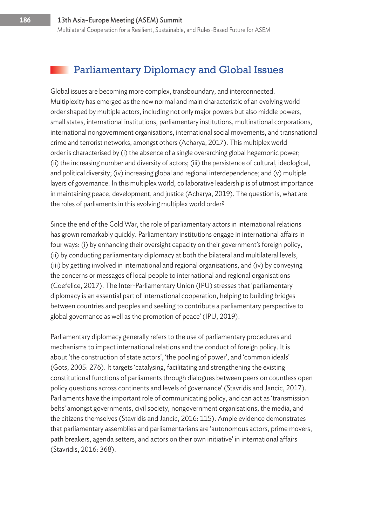### Parliamentary Diplomacy and Global Issues

Global issues are becoming more complex, transboundary, and interconnected. Multiplexity has emerged as the new normal and main characteristic of an evolving world order shaped by multiple actors, including not only major powers but also middle powers, small states, international institutions, parliamentary institutions, multinational corporations, international nongovernment organisations, international social movements, and transnational crime and terrorist networks, amongst others (Acharya, 2017). This multiplex world order is characterised by (i) the absence of a single overarching global hegemonic power; (ii) the increasing number and diversity of actors; (iii) the persistence of cultural, ideological, and political diversity; (iv) increasing global and regional interdependence; and (v) multiple layers of governance. In this multiplex world, collaborative leadership is of utmost importance in maintaining peace, development, and justice (Acharya, 2019). The question is, what are the roles of parliaments in this evolving multiplex world order?

Since the end of the Cold War, the role of parliamentary actors in international relations has grown remarkably quickly. Parliamentary institutions engage in international affairs in four ways: (i) by enhancing their oversight capacity on their government's foreign policy, (ii) by conducting parliamentary diplomacy at both the bilateral and multilateral levels, (iii) by getting involved in international and regional organisations, and (iv) by conveying the concerns or messages of local people to international and regional organisations (Coefelice, 2017). The Inter-Parliamentary Union (IPU) stresses that 'parliamentary diplomacy is an essential part of international cooperation, helping to building bridges between countries and peoples and seeking to contribute a parliamentary perspective to global governance as well as the promotion of peace' (IPU, 2019).

Parliamentary diplomacy generally refers to the use of parliamentary procedures and mechanisms to impact international relations and the conduct of foreign policy. It is about 'the construction of state actors', 'the pooling of power', and 'common ideals' (Gots, 2005: 276). It targets 'catalysing, facilitating and strengthening the existing constitutional functions of parliaments through dialogues between peers on countless open policy questions across continents and levels of governance' (Stavridis and Jancic, 2017). Parliaments have the important role of communicating policy, and can act as 'transmission belts' amongst governments, civil society, nongovernment organisations, the media, and the citizens themselves (Stavridis and Jancic, 2016: 115). Ample evidence demonstrates that parliamentary assemblies and parliamentarians are 'autonomous actors, prime movers, path breakers, agenda setters, and actors on their own initiative' in international affairs (Stavridis, 2016: 368).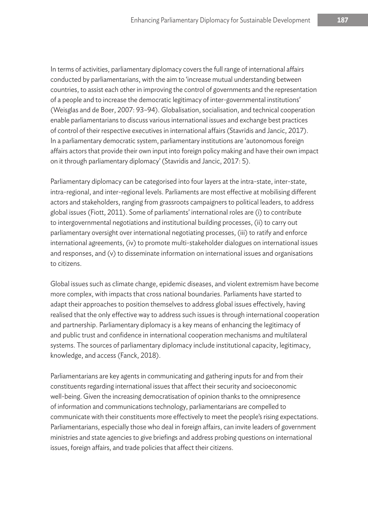In terms of activities, parliamentary diplomacy covers the full range of international affairs conducted by parliamentarians, with the aim to 'increase mutual understanding between countries, to assist each other in improving the control of governments and the representation of a people and to increase the democratic legitimacy of inter-governmental institutions' (Weisglas and de Boer, 2007: 93–94). Globalisation, socialisation, and technical cooperation enable parliamentarians to discuss various international issues and exchange best practices of control of their respective executives in international affairs (Stavridis and Jancic, 2017). In a parliamentary democratic system, parliamentary institutions are 'autonomous foreign affairs actors that provide their own input into foreign policy making and have their own impact on it through parliamentary diplomacy' (Stavridis and Jancic, 2017: 5).

Parliamentary diplomacy can be categorised into four layers at the intra-state, inter-state, intra-regional, and inter-regional levels. Parliaments are most effective at mobilising different actors and stakeholders, ranging from grassroots campaigners to political leaders, to address global issues (Fiott, 2011). Some of parliaments' international roles are (i) to contribute to intergovernmental negotiations and institutional building processes, (ii) to carry out parliamentary oversight over international negotiating processes, (iii) to ratify and enforce international agreements, (iv) to promote multi-stakeholder dialogues on international issues and responses, and (v) to disseminate information on international issues and organisations to citizens.

Global issues such as climate change, epidemic diseases, and violent extremism have become more complex, with impacts that cross national boundaries. Parliaments have started to adapt their approaches to position themselves to address global issues effectively, having realised that the only effective way to address such issues is through international cooperation and partnership. Parliamentary diplomacy is a key means of enhancing the legitimacy of and public trust and confidence in international cooperation mechanisms and multilateral systems. The sources of parliamentary diplomacy include institutional capacity, legitimacy, knowledge, and access (Fanck, 2018).

Parliamentarians are key agents in communicating and gathering inputs for and from their constituents regarding international issues that affect their security and socioeconomic well-being. Given the increasing democratisation of opinion thanks to the omnipresence of information and communications technology, parliamentarians are compelled to communicate with their constituents more effectively to meet the people's rising expectations. Parliamentarians, especially those who deal in foreign affairs, can invite leaders of government ministries and state agencies to give briefings and address probing questions on international issues, foreign affairs, and trade policies that affect their citizens.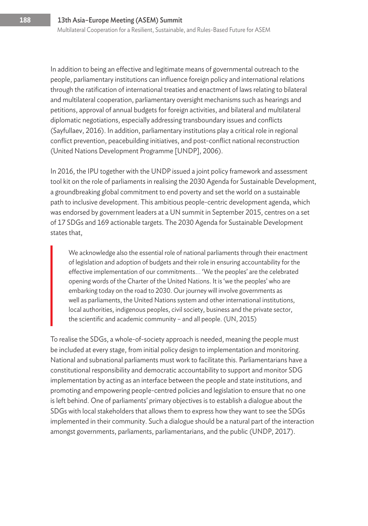In addition to being an effective and legitimate means of governmental outreach to the people, parliamentary institutions can influence foreign policy and international relations through the ratification of international treaties and enactment of laws relating to bilateral and multilateral cooperation, parliamentary oversight mechanisms such as hearings and petitions, approval of annual budgets for foreign activities, and bilateral and multilateral diplomatic negotiations, especially addressing transboundary issues and conflicts (Sayfullaev, 2016). In addition, parliamentary institutions play a critical role in regional conflict prevention, peacebuilding initiatives, and post-conflict national reconstruction (United Nations Development Programme [UNDP], 2006).

In 2016, the IPU together with the UNDP issued a joint policy framework and assessment tool kit on the role of parliaments in realising the 2030 Agenda for Sustainable Development, a groundbreaking global commitment to end poverty and set the world on a sustainable path to inclusive development. This ambitious people-centric development agenda, which was endorsed by government leaders at a UN summit in September 2015, centres on a set of 17 SDGs and 169 actionable targets. The 2030 Agenda for Sustainable Development states that,

We acknowledge also the essential role of national parliaments through their enactment of legislation and adoption of budgets and their role in ensuring accountability for the effective implementation of our commitments.… 'We the peoples' are the celebrated opening words of the Charter of the United Nations. It is 'we the peoples' who are embarking today on the road to 2030. Our journey will involve governments as well as parliaments, the United Nations system and other international institutions, local authorities, indigenous peoples, civil society, business and the private sector, the scientific and academic community – and all people. (UN, 2015)

To realise the SDGs, a whole-of-society approach is needed, meaning the people must be included at every stage, from initial policy design to implementation and monitoring. National and subnational parliaments must work to facilitate this. Parliamentarians have a constitutional responsibility and democratic accountability to support and monitor SDG implementation by acting as an interface between the people and state institutions, and promoting and empowering people-centred policies and legislation to ensure that no one is left behind. One of parliaments' primary objectives is to establish a dialogue about the SDGs with local stakeholders that allows them to express how they want to see the SDGs implemented in their community. Such a dialogue should be a natural part of the interaction amongst governments, parliaments, parliamentarians, and the public (UNDP, 2017).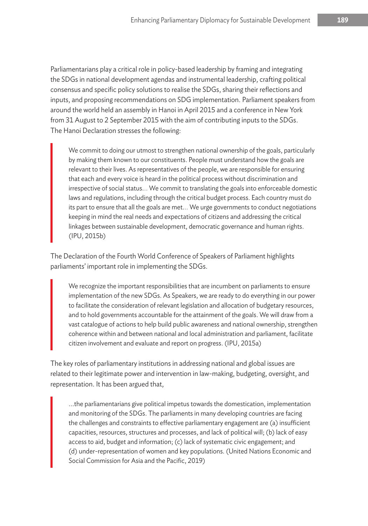Parliamentarians play a critical role in policy-based leadership by framing and integrating the SDGs in national development agendas and instrumental leadership, crafting political consensus and specific policy solutions to realise the SDGs, sharing their reflections and inputs, and proposing recommendations on SDG implementation. Parliament speakers from around the world held an assembly in Hanoi in April 2015 and a conference in New York from 31 August to 2 September 2015 with the aim of contributing inputs to the SDGs. The Hanoi Declaration stresses the following:

We commit to doing our utmost to strengthen national ownership of the goals, particularly by making them known to our constituents. People must understand how the goals are relevant to their lives. As representatives of the people, we are responsible for ensuring that each and every voice is heard in the political process without discrimination and irrespective of social status.… We commit to translating the goals into enforceable domestic laws and regulations, including through the critical budget process. Each country must do its part to ensure that all the goals are met.… We urge governments to conduct negotiations keeping in mind the real needs and expectations of citizens and addressing the critical linkages between sustainable development, democratic governance and human rights. (IPU, 2015b)

The Declaration of the Fourth World Conference of Speakers of Parliament highlights parliaments' important role in implementing the SDGs.

We recognize the important responsibilities that are incumbent on parliaments to ensure implementation of the new SDGs. As Speakers, we are ready to do everything in our power to facilitate the consideration of relevant legislation and allocation of budgetary resources, and to hold governments accountable for the attainment of the goals. We will draw from a vast catalogue of actions to help build public awareness and national ownership, strengthen coherence within and between national and local administration and parliament, facilitate citizen involvement and evaluate and report on progress. (IPU, 2015a)

The key roles of parliamentary institutions in addressing national and global issues are related to their legitimate power and intervention in law-making, budgeting, oversight, and representation. It has been argued that,

...the parliamentarians give political impetus towards the domestication, implementation and monitoring of the SDGs. The parliaments in many developing countries are facing the challenges and constraints to effective parliamentary engagement are (a) insufficient capacities, resources, structures and processes, and lack of political will; (b) lack of easy access to aid, budget and information; (c) lack of systematic civic engagement; and (d) under-representation of women and key populations. (United Nations Economic and Social Commission for Asia and the Pacific, 2019)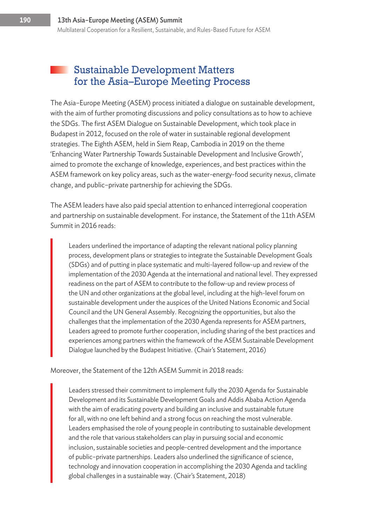#### Sustainable Development Matters for the Asia–Europe Meeting Process

The Asia–Europe Meeting (ASEM) process initiated a dialogue on sustainable development, with the aim of further promoting discussions and policy consultations as to how to achieve the SDGs. The first ASEM Dialogue on Sustainable Development, which took place in Budapest in 2012, focused on the role of water in sustainable regional development strategies. The Eighth ASEM, held in Siem Reap, Cambodia in 2019 on the theme 'Enhancing Water Partnership Towards Sustainable Development and Inclusive Growth', aimed to promote the exchange of knowledge, experiences, and best practices within the ASEM framework on key policy areas, such as the water-energy-food security nexus, climate change, and public–private partnership for achieving the SDGs.

The ASEM leaders have also paid special attention to enhanced interregional cooperation and partnership on sustainable development. For instance, the Statement of the 11th ASEM Summit in 2016 reads:

Leaders underlined the importance of adapting the relevant national policy planning process, development plans or strategies to integrate the Sustainable Development Goals (SDGs) and of putting in place systematic and multi-layered follow-up and review of the implementation of the 2030 Agenda at the international and national level. They expressed readiness on the part of ASEM to contribute to the follow-up and review process of the UN and other organizations at the global level, including at the high-level forum on sustainable development under the auspices of the United Nations Economic and Social Council and the UN General Assembly. Recognizing the opportunities, but also the challenges that the implementation of the 2030 Agenda represents for ASEM partners, Leaders agreed to promote further cooperation, including sharing of the best practices and experiences among partners within the framework of the ASEM Sustainable Development Dialogue launched by the Budapest Initiative. (Chair's Statement, 2016)

Moreover, the Statement of the 12th ASEM Summit in 2018 reads:

Leaders stressed their commitment to implement fully the 2030 Agenda for Sustainable Development and its Sustainable Development Goals and Addis Ababa Action Agenda with the aim of eradicating poverty and building an inclusive and sustainable future for all, with no one left behind and a strong focus on reaching the most vulnerable. Leaders emphasised the role of young people in contributing to sustainable development and the role that various stakeholders can play in pursuing social and economic inclusion, sustainable societies and people-centred development and the importance of public–private partnerships. Leaders also underlined the significance of science, technology and innovation cooperation in accomplishing the 2030 Agenda and tackling global challenges in a sustainable way. (Chair's Statement, 2018)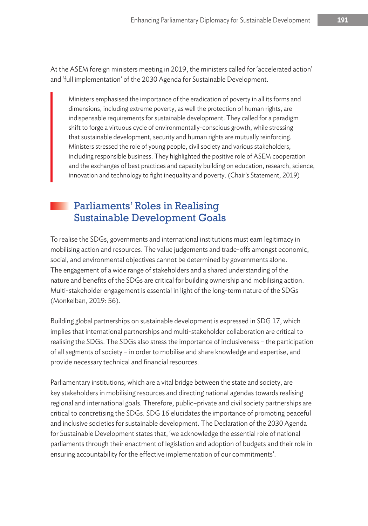At the ASEM foreign ministers meeting in 2019, the ministers called for 'accelerated action' and 'full implementation' of the 2030 Agenda for Sustainable Development.

Ministers emphasised the importance of the eradication of poverty in all its forms and dimensions, including extreme poverty, as well the protection of human rights, are indispensable requirements for sustainable development. They called for a paradigm shift to forge a virtuous cycle of environmentally-conscious growth, while stressing that sustainable development, security and human rights are mutually reinforcing. Ministers stressed the role of young people, civil society and various stakeholders, including responsible business. They highlighted the positive role of ASEM cooperation and the exchanges of best practices and capacity building on education, research, science, innovation and technology to fight inequality and poverty. (Chair's Statement, 2019)

#### Parliaments' Roles in Realising Sustainable Development Goals

To realise the SDGs, governments and international institutions must earn legitimacy in mobilising action and resources. The value judgements and trade-offs amongst economic, social, and environmental objectives cannot be determined by governments alone. The engagement of a wide range of stakeholders and a shared understanding of the nature and benefits of the SDGs are critical for building ownership and mobilising action. Multi-stakeholder engagement is essential in light of the long-term nature of the SDGs (Monkelban, 2019: 56).

Building global partnerships on sustainable development is expressed in SDG 17, which implies that international partnerships and multi-stakeholder collaboration are critical to realising the SDGs. The SDGs also stress the importance of inclusiveness – the participation of all segments of society – in order to mobilise and share knowledge and expertise, and provide necessary technical and financial resources.

Parliamentary institutions, which are a vital bridge between the state and society, are key stakeholders in mobilising resources and directing national agendas towards realising regional and international goals. Therefore, public–private and civil society partnerships are critical to concretising the SDGs. SDG 16 elucidates the importance of promoting peaceful and inclusive societies for sustainable development. The Declaration of the 2030 Agenda for Sustainable Development states that, 'we acknowledge the essential role of national parliaments through their enactment of legislation and adoption of budgets and their role in ensuring accountability for the effective implementation of our commitments'.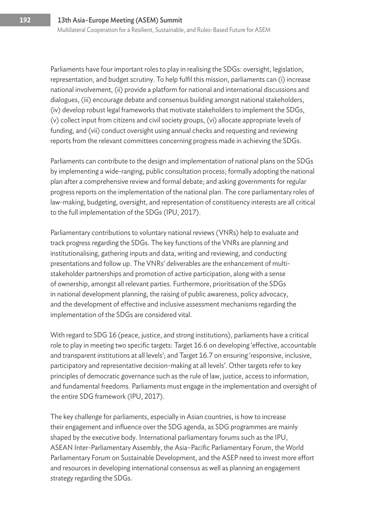Parliaments have four important roles to play in realising the SDGs: oversight, legislation, representation, and budget scrutiny. To help fulfil this mission, parliaments can (i) increase national involvement, (ii) provide a platform for national and international discussions and dialogues, (iii) encourage debate and consensus building amongst national stakeholders, (iv) develop robust legal frameworks that motivate stakeholders to implement the SDGs, (v) collect input from citizens and civil society groups, (vi) allocate appropriate levels of funding, and (vii) conduct oversight using annual checks and requesting and reviewing reports from the relevant committees concerning progress made in achieving the SDGs.

Parliaments can contribute to the design and implementation of national plans on the SDGs by implementing a wide-ranging, public consultation process; formally adopting the national plan after a comprehensive review and formal debate; and asking governments for regular progress reports on the implementation of the national plan. The core parliamentary roles of law-making, budgeting, oversight, and representation of constituency interests are all critical to the full implementation of the SDGs (IPU, 2017).

Parliamentary contributions to voluntary national reviews (VNRs) help to evaluate and track progress regarding the SDGs. The key functions of the VNRs are planning and institutionalising, gathering inputs and data, writing and reviewing, and conducting presentations and follow up. The VNRs' deliverables are the enhancement of multistakeholder partnerships and promotion of active participation, along with a sense of ownership, amongst all relevant parties. Furthermore, prioritisation of the SDGs in national development planning, the raising of public awareness, policy advocacy, and the development of effective and inclusive assessment mechanisms regarding the implementation of the SDGs are considered vital.

With regard to SDG 16 (peace, justice, and strong institutions), parliaments have a critical role to play in meeting two specific targets: Target 16.6 on developing 'effective, accountable and transparent institutions at all levels'; and Target 16.7 on ensuring 'responsive, inclusive, participatory and representative decision-making at all levels'. Other targets refer to key principles of democratic governance such as the rule of law, justice, access to information, and fundamental freedoms. Parliaments must engage in the implementation and oversight of the entire SDG framework (IPU, 2017).

The key challenge for parliaments, especially in Asian countries, is how to increase their engagement and influence over the SDG agenda, as SDG programmes are mainly shaped by the executive body. International parliamentary forums such as the IPU, ASEAN Inter-Parliamentary Assembly, the Asia–Pacific Parliamentary Forum, the World Parliamentary Forum on Sustainable Development, and the ASEP need to invest more effort and resources in developing international consensus as well as planning an engagement strategy regarding the SDGs.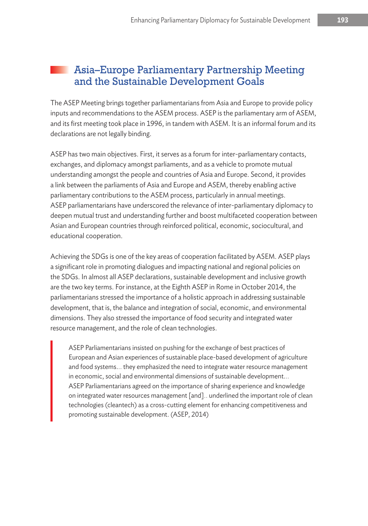#### Asia–Europe Parliamentary Partnership Meeting and the Sustainable Development Goals

The ASEP Meeting brings together parliamentarians from Asia and Europe to provide policy inputs and recommendations to the ASEM process. ASEP is the parliamentary arm of ASEM, and its first meeting took place in 1996, in tandem with ASEM. It is an informal forum and its declarations are not legally binding.

ASEP has two main objectives. First, it serves as a forum for inter-parliamentary contacts, exchanges, and diplomacy amongst parliaments, and as a vehicle to promote mutual understanding amongst the people and countries of Asia and Europe. Second, it provides a link between the parliaments of Asia and Europe and ASEM, thereby enabling active parliamentary contributions to the ASEM process, particularly in annual meetings. ASEP parliamentarians have underscored the relevance of inter-parliamentary diplomacy to deepen mutual trust and understanding further and boost multifaceted cooperation between Asian and European countries through reinforced political, economic, sociocultural, and educational cooperation.

Achieving the SDGs is one of the key areas of cooperation facilitated by ASEM. ASEP plays a significant role in promoting dialogues and impacting national and regional policies on the SDGs. In almost all ASEP declarations, sustainable development and inclusive growth are the two key terms. For instance, at the Eighth ASEP in Rome in October 2014, the parliamentarians stressed the importance of a holistic approach in addressing sustainable development, that is, the balance and integration of social, economic, and environmental dimensions. They also stressed the importance of food security and integrated water resource management, and the role of clean technologies.

ASEP Parliamentarians insisted on pushing for the exchange of best practices of European and Asian experiences of sustainable place-based development of agriculture and food systems.… they emphasized the need to integrate water resource management in economic, social and environmental dimensions of sustainable development.… ASEP Parliamentarians agreed on the importance of sharing experience and knowledge on integrated water resources management [and]… underlined the important role of clean technologies (cleantech) as a cross-cutting element for enhancing competitiveness and promoting sustainable development. (ASEP, 2014)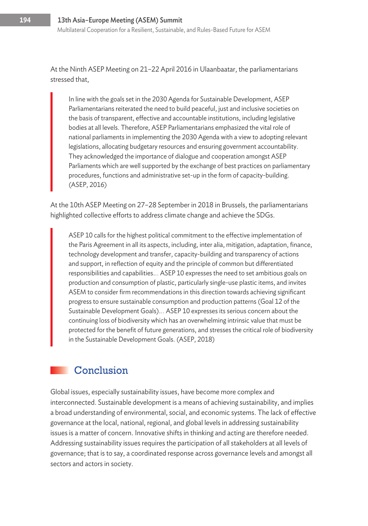At the Ninth ASEP Meeting on 21–22 April 2016 in Ulaanbaatar, the parliamentarians stressed that,

In line with the goals set in the 2030 Agenda for Sustainable Development, ASEP Parliamentarians reiterated the need to build peaceful, just and inclusive societies on the basis of transparent, effective and accountable institutions, including legislative bodies at all levels. Therefore, ASEP Parliamentarians emphasized the vital role of national parliaments in implementing the 2030 Agenda with a view to adopting relevant legislations, allocating budgetary resources and ensuring government accountability. They acknowledged the importance of dialogue and cooperation amongst ASEP Parliaments which are well supported by the exchange of best practices on parliamentary procedures, functions and administrative set-up in the form of capacity-building. (ASEP, 2016)

At the 10th ASEP Meeting on 27–28 September in 2018 in Brussels, the parliamentarians highlighted collective efforts to address climate change and achieve the SDGs.

ASEP 10 calls for the highest political commitment to the effective implementation of the Paris Agreement in all its aspects, including, inter alia, mitigation, adaptation, finance, technology development and transfer, capacity-building and transparency of actions and support, in reflection of equity and the principle of common but differentiated responsibilities and capabilities.… ASEP 10 expresses the need to set ambitious goals on production and consumption of plastic, particularly single-use plastic items, and invites ASEM to consider firm recommendations in this direction towards achieving significant progress to ensure sustainable consumption and production patterns (Goal 12 of the Sustainable Development Goals).… ASEP 10 expresses its serious concern about the continuing loss of biodiversity which has an overwhelming intrinsic value that must be protected for the benefit of future generations, and stresses the critical role of biodiversity in the Sustainable Development Goals. (ASEP, 2018)

## Conclusion

Global issues, especially sustainability issues, have become more complex and interconnected. Sustainable development is a means of achieving sustainability, and implies a broad understanding of environmental, social, and economic systems. The lack of effective governance at the local, national, regional, and global levels in addressing sustainability issues is a matter of concern. Innovative shifts in thinking and acting are therefore needed. Addressing sustainability issues requires the participation of all stakeholders at all levels of governance; that is to say, a coordinated response across governance levels and amongst all sectors and actors in society.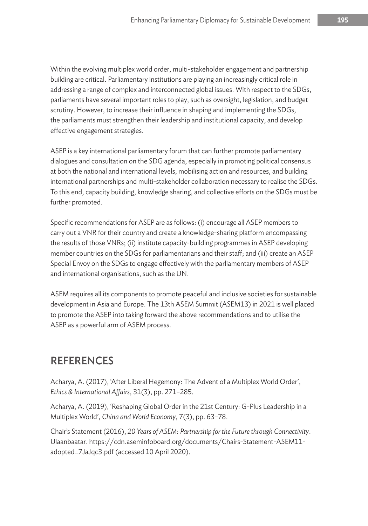Within the evolving multiplex world order, multi-stakeholder engagement and partnership building are critical. Parliamentary institutions are playing an increasingly critical role in addressing a range of complex and interconnected global issues. With respect to the SDGs, parliaments have several important roles to play, such as oversight, legislation, and budget scrutiny. However, to increase their influence in shaping and implementing the SDGs, the parliaments must strengthen their leadership and institutional capacity, and develop effective engagement strategies.

ASEP is a key international parliamentary forum that can further promote parliamentary dialogues and consultation on the SDG agenda, especially in promoting political consensus at both the national and international levels, mobilising action and resources, and building international partnerships and multi-stakeholder collaboration necessary to realise the SDGs. To this end, capacity building, knowledge sharing, and collective efforts on the SDGs must be further promoted.

Specific recommendations for ASEP are as follows: (i) encourage all ASEP members to carry out a VNR for their country and create a knowledge-sharing platform encompassing the results of those VNRs; (ii) institute capacity-building programmes in ASEP developing member countries on the SDGs for parliamentarians and their staff; and (iii) create an ASEP Special Envoy on the SDGs to engage effectively with the parliamentary members of ASEP and international organisations, such as the UN.

ASEM requires all its components to promote peaceful and inclusive societies for sustainable development in Asia and Europe. The 13th ASEM Summit (ASEM13) in 2021 is well placed to promote the ASEP into taking forward the above recommendations and to utilise the ASEP as a powerful arm of ASEM process.

## REFERENCES

Acharya, A. (2017), 'After Liberal Hegemony: The Advent of a Multiplex World Order', *Ethics & International Affairs*, 31(3), pp. 271–285.

Acharya, A. (2019), 'Reshaping Global Order in the 21st Century: G-Plus Leadership in a Multiplex World', *China and World Economy*, 7(3), pp. 63–78.

Chair's Statement (2016), *20 Years of ASEM: Partnership for the Future through Connectivity*. Ulaanbaatar. https://cdn.aseminfoboard.org/documents/Chairs-Statement-ASEM11 adopted\_7JaJqc3.pdf (accessed 10 April 2020).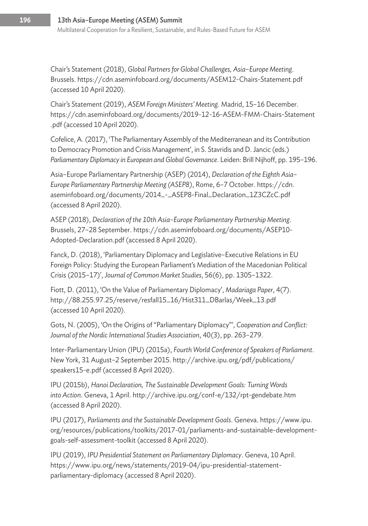Chair's Statement (2018), *Global Partners for Global Challenges, Asia*–*Europe Meeting*. Brussels. https://cdn.aseminfoboard.org/documents/ASEM12-Chairs-Statement.pdf (accessed 10 April 2020).

Chair's Statement (2019), *ASEM Foreign Ministers' Meeting*. Madrid, 15–16 December. https://cdn.aseminfoboard.org/documents/2019-12-16-ASEM-FMM-Chairs-Statement .pdf (accessed 10 April 2020).

Cofelice, A. (2017), 'The Parliamentary Assembly of the Mediterranean and its Contribution to Democracy Promotion and Crisis Management', in S. Stavridis and D. Jancic (eds.) *Parliamentary Diplomacy in European and Global Governance*. Leiden: Brill Nijhoff, pp. 195–196.

Asia–Europe Parliamentary Partnership (ASEP) (2014), *Declaration of the Eighth Asia– Europe Parliamentary Partnership Meeting (ASEP8)*, Rome, 6–7 October. https://cdn. aseminfoboard.org/documents/2014\_-\_ASEP8-Final\_Declaration\_1Z3CZcC.pdf (accessed 8 April 2020).

ASEP (2018), *Declaration of the 10th Asia–Europe Parliamentary Partnership Meeting*. Brussels, 27–28 September. https://cdn.aseminfoboard.org/documents/ASEP10- Adopted-Declaration.pdf (accessed 8 April 2020).

Fanck, D. (2018), 'Parliamentary Diplomacy and Legislative–Executive Relations in EU Foreign Policy: Studying the European Parliament's Mediation of the Macedonian Political Crisis (2015–17)', *Journal of Common Market Studies*, 56(6), pp. 1305–1322.

Fiott, D. (2011), 'On the Value of Parliamentary Diplomacy', *Madariaga Paper*, 4(7). http://88.255.97.25/reserve/resfall15\_16/Hist311\_DBarlas/Week\_13.pdf (accessed 10 April 2020).

Gots, N. (2005), 'On the Origins of "Parliamentary Diplomacy"', *Cooperation and Conflict: Journal of the Nordic International Studies Association*, 40(3), pp. 263–279.

Inter-Parliamentary Union (IPU) (2015a), *Fourth World Conference of Speakers of Parliament*. New York, 31 August–2 September 2015. http://archive.ipu.org/pdf/publications/ speakers15-e.pdf (accessed 8 April 2020).

IPU (2015b), *Hanoi Declaration, The Sustainable Development Goals: Turning Words into Action*. Geneva, 1 April. http://archive.ipu.org/conf-e/132/rpt-gendebate.htm (accessed 8 April 2020).

IPU (2017), *Parliaments and the Sustainable Development Goals*. Geneva. https://www.ipu. org/resources/publications/toolkits/2017-01/parliaments-and-sustainable-developmentgoals-self-assessment-toolkit (accessed 8 April 2020).

IPU (2019), *IPU Presidential Statement on Parliamentary Diplomacy*. Geneva, 10 April. https://www.ipu.org/news/statements/2019-04/ipu-presidential-statementparliamentary-diplomacy (accessed 8 April 2020).